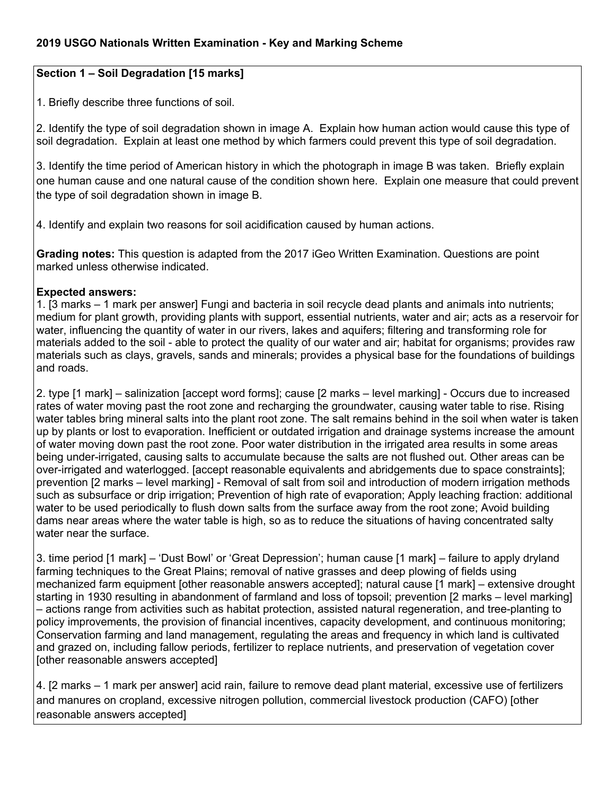#### **Section 1 – Soil Degradation [15 marks]**

1. Briefly describe three functions of soil.

2. Identify the type of soil degradation shown in image A. Explain how human action would cause this type of soil degradation. Explain at least one method by which farmers could prevent this type of soil degradation.

3. Identify the time period of American history in which the photograph in image B was taken. Briefly explain one human cause and one natural cause of the condition shown here. Explain one measure that could prevent the type of soil degradation shown in image B.

4. Identify and explain two reasons for soil acidification caused by human actions.

**Grading notes:** This question is adapted from the 2017 iGeo Written Examination. Questions are point marked unless otherwise indicated.

#### **Expected answers:**

1. [3 marks – 1 mark per answer] Fungi and bacteria in soil recycle dead plants and animals into nutrients; medium for plant growth, providing plants with support, essential nutrients, water and air; acts as a reservoir for water, influencing the quantity of water in our rivers, lakes and aquifers; filtering and transforming role for materials added to the soil - able to protect the quality of our water and air; habitat for organisms; provides raw materials such as clays, gravels, sands and minerals; provides a physical base for the foundations of buildings and roads.

2. type [1 mark] – salinization [accept word forms]; cause [2 marks – level marking] - Occurs due to increased rates of water moving past the root zone and recharging the groundwater, causing water table to rise. Rising water tables bring mineral salts into the plant root zone. The salt remains behind in the soil when water is taken up by plants or lost to evaporation. Inefficient or outdated irrigation and drainage systems increase the amount of water moving down past the root zone. Poor water distribution in the irrigated area results in some areas being under-irrigated, causing salts to accumulate because the salts are not flushed out. Other areas can be over-irrigated and waterlogged. [accept reasonable equivalents and abridgements due to space constraints]; prevention [2 marks – level marking] - Removal of salt from soil and introduction of modern irrigation methods such as subsurface or drip irrigation; Prevention of high rate of evaporation; Apply leaching fraction: additional water to be used periodically to flush down salts from the surface away from the root zone; Avoid building dams near areas where the water table is high, so as to reduce the situations of having concentrated salty water near the surface.

3. time period [1 mark] – 'Dust Bowl' or 'Great Depression'; human cause [1 mark] – failure to apply dryland farming techniques to the Great Plains; removal of native grasses and deep plowing of fields using mechanized farm equipment [other reasonable answers accepted]; natural cause [1 mark] – extensive drought starting in 1930 resulting in abandonment of farmland and loss of topsoil; prevention [2 marks – level marking] – actions range from activities such as habitat protection, assisted natural regeneration, and tree-planting to policy improvements, the provision of financial incentives, capacity development, and continuous monitoring; Conservation farming and land management, regulating the areas and frequency in which land is cultivated and grazed on, including fallow periods, fertilizer to replace nutrients, and preservation of vegetation cover [other reasonable answers accepted]

4. [2 marks – 1 mark per answer] acid rain, failure to remove dead plant material, excessive use of fertilizers and manures on cropland, excessive nitrogen pollution, commercial livestock production (CAFO) [other reasonable answers accepted]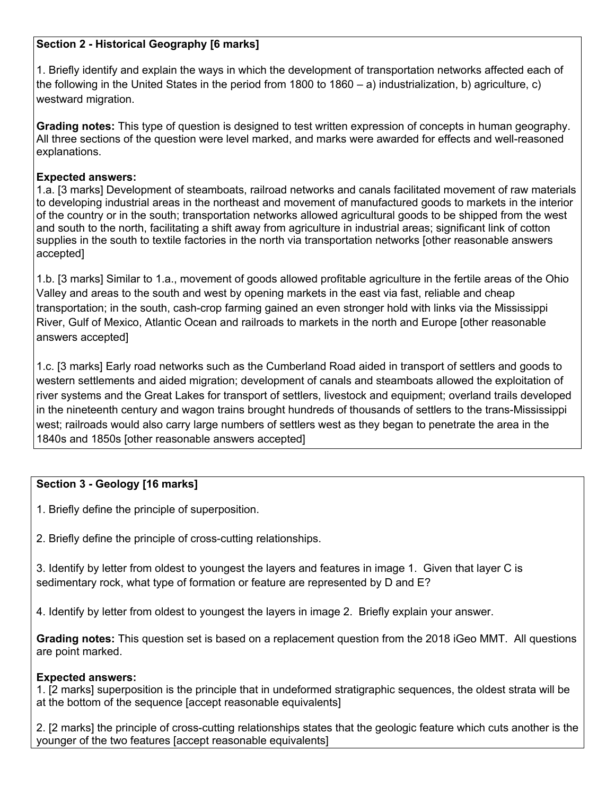## **Section 2 - Historical Geography [6 marks]**

1. Briefly identify and explain the ways in which the development of transportation networks affected each of the following in the United States in the period from 1800 to 1860 – a) industrialization, b) agriculture, c) westward migration.

**Grading notes:** This type of question is designed to test written expression of concepts in human geography. All three sections of the question were level marked, and marks were awarded for effects and well-reasoned explanations.

#### **Expected answers:**

1.a. [3 marks] Development of steamboats, railroad networks and canals facilitated movement of raw materials to developing industrial areas in the northeast and movement of manufactured goods to markets in the interior of the country or in the south; transportation networks allowed agricultural goods to be shipped from the west and south to the north, facilitating a shift away from agriculture in industrial areas; significant link of cotton supplies in the south to textile factories in the north via transportation networks [other reasonable answers accepted]

1.b. [3 marks] Similar to 1.a., movement of goods allowed profitable agriculture in the fertile areas of the Ohio Valley and areas to the south and west by opening markets in the east via fast, reliable and cheap transportation; in the south, cash-crop farming gained an even stronger hold with links via the Mississippi River, Gulf of Mexico, Atlantic Ocean and railroads to markets in the north and Europe [other reasonable answers accepted]

1.c. [3 marks] Early road networks such as the Cumberland Road aided in transport of settlers and goods to western settlements and aided migration; development of canals and steamboats allowed the exploitation of river systems and the Great Lakes for transport of settlers, livestock and equipment; overland trails developed in the nineteenth century and wagon trains brought hundreds of thousands of settlers to the trans-Mississippi west; railroads would also carry large numbers of settlers west as they began to penetrate the area in the 1840s and 1850s [other reasonable answers accepted]

### **Section 3 - Geology [16 marks]**

- 1. Briefly define the principle of superposition.
- 2. Briefly define the principle of cross-cutting relationships.

3. Identify by letter from oldest to youngest the layers and features in image 1. Given that layer C is sedimentary rock, what type of formation or feature are represented by D and E?

4. Identify by letter from oldest to youngest the layers in image 2. Briefly explain your answer.

**Grading notes:** This question set is based on a replacement question from the 2018 iGeo MMT. All questions are point marked.

### **Expected answers:**

1. [2 marks] superposition is the principle that in undeformed stratigraphic sequences, the oldest strata will be at the bottom of the sequence [accept reasonable equivalents]

2. [2 marks] the principle of cross-cutting relationships states that the geologic feature which cuts another is the younger of the two features [accept reasonable equivalents]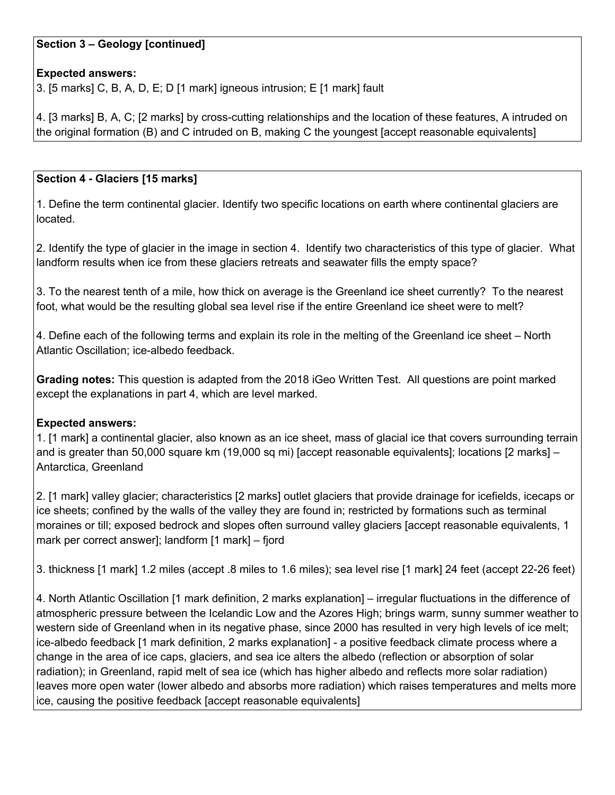### **Section 3 – Geology [continued]**

### **Expected answers:**

3. [5 marks] C, B, A, D, E; D [1 mark] igneous intrusion; E [1 mark] fault

4. [3 marks] B, A, C; [2 marks] by cross-cutting relationships and the location of these features, A intruded on the original formation (B) and C intruded on B, making C the youngest [accept reasonable equivalents]

### **Section 4 - Glaciers [15 marks]**

1. Define the term continental glacier. Identify two specific locations on earth where continental glaciers are located.

2. Identify the type of glacier in the image in section 4. Identify two characteristics of this type of glacier. What landform results when ice from these glaciers retreats and seawater fills the empty space?

3. To the nearest tenth of a mile, how thick on average is the Greenland ice sheet currently? To the nearest foot, what would be the resulting global sea level rise if the entire Greenland ice sheet were to melt?

4. Define each of the following terms and explain its role in the melting of the Greenland ice sheet – North Atlantic Oscillation; ice-albedo feedback.

**Grading notes:** This question is adapted from the 2018 iGeo Written Test. All questions are point marked except the explanations in part 4, which are level marked.

### **Expected answers:**

1. [1 mark] a continental glacier, also known as an ice sheet, mass of glacial ice that covers surrounding terrain and is greater than 50,000 square km (19,000 sq mi) [accept reasonable equivalents]; locations [2 marks] – Antarctica, Greenland

2. [1 mark] valley glacier; characteristics [2 marks] outlet glaciers that provide drainage for icefields, icecaps or ice sheets; confined by the walls of the valley they are found in; restricted by formations such as terminal moraines or till; exposed bedrock and slopes often surround valley glaciers [accept reasonable equivalents, 1 mark per correct answer]; landform [1 mark] – fjord

3. thickness [1 mark] 1.2 miles (accept .8 miles to 1.6 miles); sea level rise [1 mark] 24 feet (accept 22-26 feet)

4. North Atlantic Oscillation [1 mark definition, 2 marks explanation] – irregular fluctuations in the difference of atmospheric pressure between the Icelandic Low and the Azores High; brings warm, sunny summer weather to western side of Greenland when in its negative phase, since 2000 has resulted in very high levels of ice melt; ice-albedo feedback [1 mark definition, 2 marks explanation] - a positive feedback climate process where a change in the area of ice caps, glaciers, and sea ice alters the albedo (reflection or absorption of solar radiation); in Greenland, rapid melt of sea ice (which has higher albedo and reflects more solar radiation) leaves more open water (lower albedo and absorbs more radiation) which raises temperatures and melts more ice, causing the positive feedback [accept reasonable equivalents]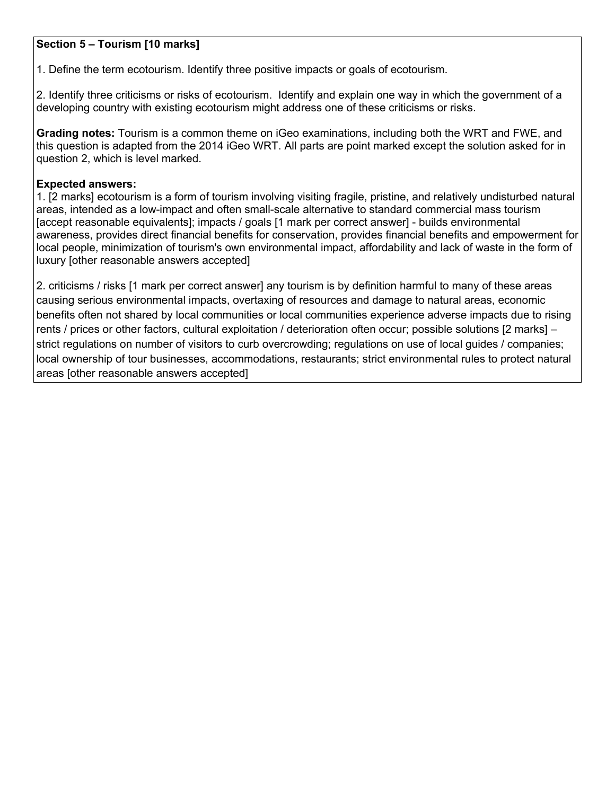### **Section 5 – Tourism [10 marks]**

1. Define the term ecotourism. Identify three positive impacts or goals of ecotourism.

2. Identify three criticisms or risks of ecotourism. Identify and explain one way in which the government of a developing country with existing ecotourism might address one of these criticisms or risks.

**Grading notes:** Tourism is a common theme on iGeo examinations, including both the WRT and FWE, and this question is adapted from the 2014 iGeo WRT. All parts are point marked except the solution asked for in question 2, which is level marked.

#### **Expected answers:**

1. [2 marks] ecotourism is a form of tourism involving visiting fragile, pristine, and relatively undisturbed natural areas, intended as a low-impact and often small-scale alternative to standard commercial mass tourism [accept reasonable equivalents]; impacts / goals [1 mark per correct answer] - builds environmental awareness, provides direct financial benefits for conservation, provides financial benefits and empowerment for local people, minimization of tourism's own environmental impact, affordability and lack of waste in the form of luxury [other reasonable answers accepted]

2. criticisms / risks [1 mark per correct answer] any tourism is by definition harmful to many of these areas causing serious environmental impacts, overtaxing of resources and damage to natural areas, economic benefits often not shared by local communities or local communities experience adverse impacts due to rising rents / prices or other factors, cultural exploitation / deterioration often occur; possible solutions [2 marks] – strict regulations on number of visitors to curb overcrowding; regulations on use of local guides / companies; local ownership of tour businesses, accommodations, restaurants; strict environmental rules to protect natural areas [other reasonable answers accepted]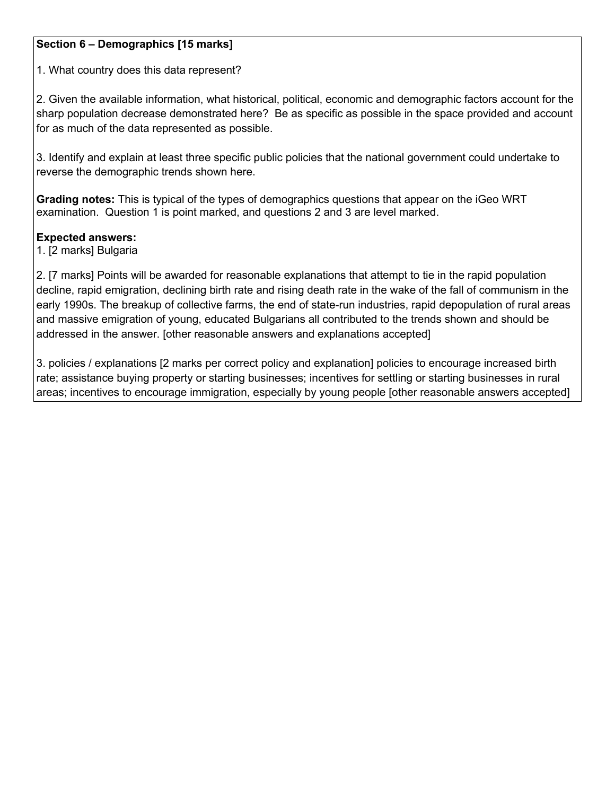### **Section 6 – Demographics [15 marks]**

1. What country does this data represent?

2. Given the available information, what historical, political, economic and demographic factors account for the sharp population decrease demonstrated here? Be as specific as possible in the space provided and account for as much of the data represented as possible.

3. Identify and explain at least three specific public policies that the national government could undertake to reverse the demographic trends shown here.

**Grading notes:** This is typical of the types of demographics questions that appear on the iGeo WRT examination. Question 1 is point marked, and questions 2 and 3 are level marked.

### **Expected answers:**

1. [2 marks] Bulgaria

2. [7 marks] Points will be awarded for reasonable explanations that attempt to tie in the rapid population decline, rapid emigration, declining birth rate and rising death rate in the wake of the fall of communism in the early 1990s. The breakup of collective farms, the end of state-run industries, rapid depopulation of rural areas and massive emigration of young, educated Bulgarians all contributed to the trends shown and should be addressed in the answer. [other reasonable answers and explanations accepted]

3. policies / explanations [2 marks per correct policy and explanation] policies to encourage increased birth rate; assistance buying property or starting businesses; incentives for settling or starting businesses in rural areas; incentives to encourage immigration, especially by young people [other reasonable answers accepted]